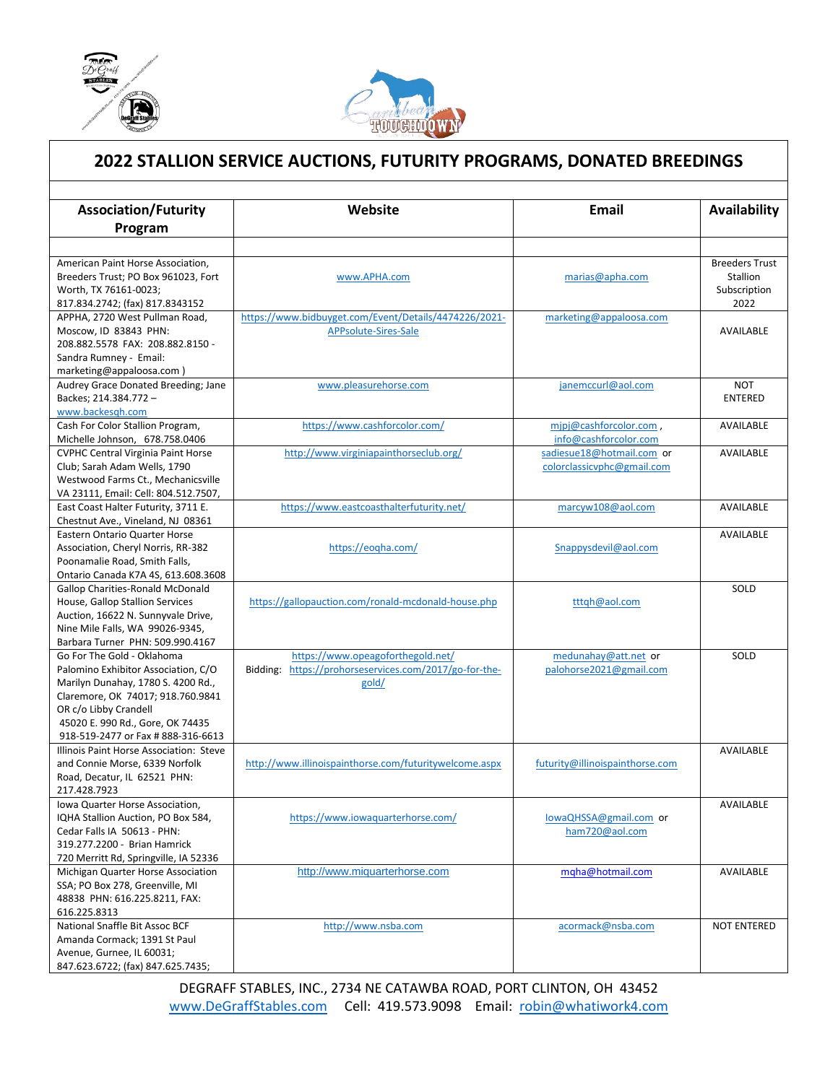

l



## **2022 STALLION SERVICE AUCTIONS, FUTURITY PROGRAMS, DONATED BREEDINGS**

| <b>Association/Futurity</b>                                                   | Website                                                | <b>Email</b>                    | Availability          |
|-------------------------------------------------------------------------------|--------------------------------------------------------|---------------------------------|-----------------------|
| Program                                                                       |                                                        |                                 |                       |
|                                                                               |                                                        |                                 |                       |
| American Paint Horse Association.                                             |                                                        |                                 | <b>Breeders Trust</b> |
| Breeders Trust; PO Box 961023, Fort                                           | www.APHA.com                                           | marias@apha.com                 | Stallion              |
| Worth, TX 76161-0023;                                                         |                                                        |                                 | Subscription          |
| 817.834.2742; (fax) 817.8343152                                               |                                                        |                                 | 2022                  |
| APPHA, 2720 West Pullman Road,                                                | https://www.bidbuyget.com/Event/Details/4474226/2021-  | marketing@appaloosa.com         |                       |
| Moscow, ID 83843 PHN:                                                         | APPsolute-Sires-Sale                                   |                                 | <b>AVAILABLE</b>      |
| 208.882.5578 FAX: 208.882.8150 -                                              |                                                        |                                 |                       |
| Sandra Rumney - Email:                                                        |                                                        |                                 |                       |
| marketing@appaloosa.com)                                                      |                                                        |                                 |                       |
| Audrey Grace Donated Breeding; Jane                                           | www.pleasurehorse.com                                  | janemccurl@aol.com              | <b>NOT</b>            |
| Backes; 214.384.772 -<br>www.backesgh.com                                     |                                                        |                                 | <b>ENTERED</b>        |
| Cash For Color Stallion Program,                                              | https://www.cashforcolor.com/                          | mipj@cashforcolor.com,          | AVAILABLE             |
| Michelle Johnson, 678.758.0406                                                |                                                        | info@cashforcolor.com           |                       |
| <b>CVPHC Central Virginia Paint Horse</b>                                     | http://www.virginiapainthorseclub.org/                 | sadiesue18@hotmail.com or       | AVAILABLE             |
| Club; Sarah Adam Wells, 1790                                                  |                                                        | colorclassicvphc@gmail.com      |                       |
| Westwood Farms Ct., Mechanicsville                                            |                                                        |                                 |                       |
| VA 23111, Email: Cell: 804.512.7507,                                          |                                                        |                                 |                       |
| East Coast Halter Futurity, 3711 E.                                           | https://www.eastcoasthalterfuturity.net/               | marcyw108@aol.com               | <b>AVAILABLE</b>      |
| Chestnut Ave., Vineland, NJ 08361                                             |                                                        |                                 |                       |
| Eastern Ontario Quarter Horse                                                 |                                                        |                                 | AVAILABLE             |
| Association, Cheryl Norris, RR-382                                            | https://eogha.com/                                     | Snappysdevil@aol.com            |                       |
| Poonamalie Road, Smith Falls,                                                 |                                                        |                                 |                       |
| Ontario Canada K7A 4S, 613.608.3608                                           |                                                        |                                 |                       |
| <b>Gallop Charities-Ronald McDonald</b>                                       |                                                        |                                 | SOLD                  |
| House, Gallop Stallion Services                                               | https://gallopauction.com/ronald-mcdonald-house.php    | tttqh@aol.com                   |                       |
| Auction, 16622 N. Sunnyvale Drive,                                            |                                                        |                                 |                       |
| Nine Mile Falls, WA 99026-9345,                                               |                                                        |                                 |                       |
| Barbara Turner PHN: 509.990.4167                                              |                                                        |                                 |                       |
| Go For The Gold - Oklahoma                                                    | https://www.opeagoforthegold.net/                      | medunahay@att.net or            | SOLD                  |
| Palomino Exhibitor Association, C/O                                           | Bidding: https://prohorseservices.com/2017/go-for-the- | palohorse2021@gmail.com         |                       |
| Marilyn Dunahay, 1780 S. 4200 Rd.,                                            | gold/                                                  |                                 |                       |
| Claremore, OK 74017; 918.760.9841                                             |                                                        |                                 |                       |
| OR c/o Libby Crandell                                                         |                                                        |                                 |                       |
| 45020 E. 990 Rd., Gore, OK 74435                                              |                                                        |                                 |                       |
| 918-519-2477 or Fax # 888-316-6613<br>Illinois Paint Horse Association: Steve |                                                        |                                 | AVAILABLE             |
| and Connie Morse, 6339 Norfolk                                                | http://www.illinoispainthorse.com/futuritywelcome.aspx | futurity@illinoispainthorse.com |                       |
| Road, Decatur, IL 62521 PHN:                                                  |                                                        |                                 |                       |
| 217.428.7923                                                                  |                                                        |                                 |                       |
| Iowa Quarter Horse Association,                                               |                                                        |                                 | <b>AVAILABLE</b>      |
| IQHA Stallion Auction, PO Box 584,                                            | https://www.iowaquarterhorse.com/                      | lowaQHSSA@gmail.com or          |                       |
| Cedar Falls IA 50613 - PHN:                                                   |                                                        | ham720@aol.com                  |                       |
| 319.277.2200 - Brian Hamrick                                                  |                                                        |                                 |                       |
| 720 Merritt Rd, Springville, IA 52336                                         |                                                        |                                 |                       |
| Michigan Quarter Horse Association                                            | http://www.miquarterhorse.com                          | mqha@hotmail.com                | AVAILABLE             |
| SSA; PO Box 278, Greenville, MI                                               |                                                        |                                 |                       |
| 48838 PHN: 616.225.8211, FAX:                                                 |                                                        |                                 |                       |
| 616.225.8313                                                                  |                                                        |                                 |                       |
| National Snaffle Bit Assoc BCF                                                | http://www.nsba.com                                    | acormack@nsba.com               | <b>NOT ENTERED</b>    |
| Amanda Cormack; 1391 St Paul                                                  |                                                        |                                 |                       |
| Avenue, Gurnee, IL 60031;                                                     |                                                        |                                 |                       |
| 847.623.6722; (fax) 847.625.7435;                                             |                                                        |                                 |                       |

DEGRAFF STABLES, INC., 2734 NE CATAWBA ROAD, PORT CLINTON, OH 43452 [www.DeGraffStables.com](http://www.degraffstables.com/) Cell: 419.573.9098 Email: [robin@whatiwork4.com](mailto:robin@whatiwork4.com)